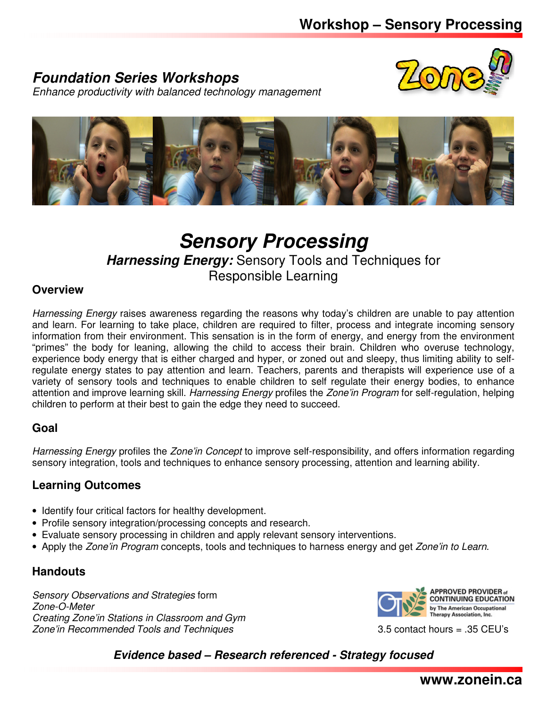## **Foundation Series Workshops**



Enhance productivity with balanced technology management



# **Sensory Processing**

**Harnessing Energy:** Sensory Tools and Techniques for

Responsible Learning

### **Overview**

Harnessing Energy raises awareness regarding the reasons why today's children are unable to pay attention and learn. For learning to take place, children are required to filter, process and integrate incoming sensory information from their environment. This sensation is in the form of energy, and energy from the environment "primes" the body for leaning, allowing the child to access their brain. Children who overuse technology, experience body energy that is either charged and hyper, or zoned out and sleepy, thus limiting ability to selfregulate energy states to pay attention and learn. Teachers, parents and therapists will experience use of a variety of sensory tools and techniques to enable children to self regulate their energy bodies, to enhance attention and improve learning skill. Harnessing Energy profiles the Zone'in Program for self-regulation, helping children to perform at their best to gain the edge they need to succeed.

### **Goal**

Harnessing Energy profiles the Zone'in Concept to improve self-responsibility, and offers information regarding sensory integration, tools and techniques to enhance sensory processing, attention and learning ability.

### **Learning Outcomes**

- Identify four critical factors for healthy development.
- Profile sensory integration/processing concepts and research.
- Evaluate sensory processing in children and apply relevant sensory interventions.
- Apply the Zone'in Program concepts, tools and techniques to harness energy and get Zone'in to Learn.

### **Handouts**

Sensory Observations and Strategies form Zone-O-Meter Creating Zone'in Stations in Classroom and Gym Zone'in Recommended Tools and Techniques 3.5 contact hours = .35 CEU's



**Evidence based – Research referenced - Strategy focused**